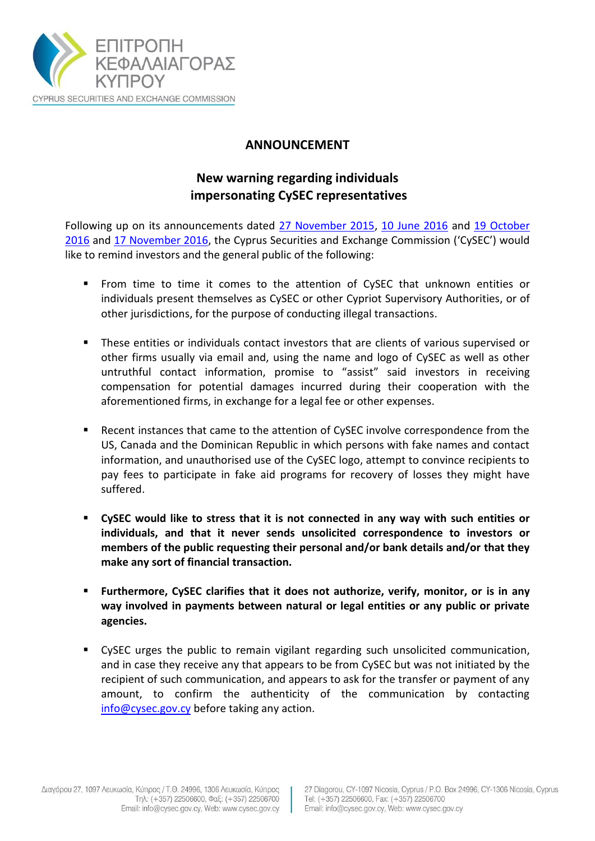

## **ANNOUNCEMENT**

## **New warning regarding individuals impersonating CySEC representatives**

Following up on its announcements dated [27 November 2015,](http://cysec.gov.cy/CMSPages/GetFile.aspx?guid=e8b76764-8233-4deb-a3d7-c3de5a7459d8) [10 June 2016](http://www.cysec.gov.cy/CMSPages/GetFile.aspx?guid=a7f9eccb-6598-4fb9-b5bb-0f87a11dc684) and [19 October](http://www.cysec.gov.cy/CMSPages/GetFile.aspx?guid=97d073c6-0a4f-45e1-94ae-37486c7fa1ba)  [2016](http://www.cysec.gov.cy/CMSPages/GetFile.aspx?guid=97d073c6-0a4f-45e1-94ae-37486c7fa1ba) and [17 November 2016,](http://www.cysec.gov.cy/CMSPages/GetFile.aspx?guid=e539a401-be8d-428d-b702-16111afe7b86) the Cyprus Securities and Exchange Commission ('CySEC') would like to remind investors and the general public of the following:

- From time to time it comes to the attention of CySEC that unknown entities or individuals present themselves as CySEC or other Cypriot Supervisory Authorities, or of other jurisdictions, for the purpose of conducting illegal transactions.
- These entities or individuals contact investors that are clients of various supervised or other firms usually via email and, using the name and logo of CySEC as well as other untruthful contact information, promise to "assist" said investors in receiving compensation for potential damages incurred during their cooperation with the aforementioned firms, in exchange for a legal fee or other expenses.
- Recent instances that came to the attention of CySEC involve correspondence from the US, Canada and the Dominican Republic in which persons with fake names and contact information, and unauthorised use of the CySEC logo, attempt to convince recipients to pay fees to participate in fake aid programs for recovery of losses they might have suffered.
- **CySEC would like to stress that it is not connected in any way with such entities or individuals, and that it never sends unsolicited correspondence to investors or members of the public requesting their personal and/or bank details and/or that they make any sort of financial transaction.**
- **Furthermore, CySEC clarifies that it does not authorize, verify, monitor, or is in any way involved in payments between natural or legal entities or any public or private agencies.**
- CySEC urges the public to remain vigilant regarding such unsolicited communication, and in case they receive any that appears to be from CySEC but was not initiated by the recipient of such communication, and appears to ask for the transfer or payment of any amount, to confirm the authenticity of the communication by contacting [info@cysec.gov.cy](mailto:info@cysec.gov.cy) before taking any action.